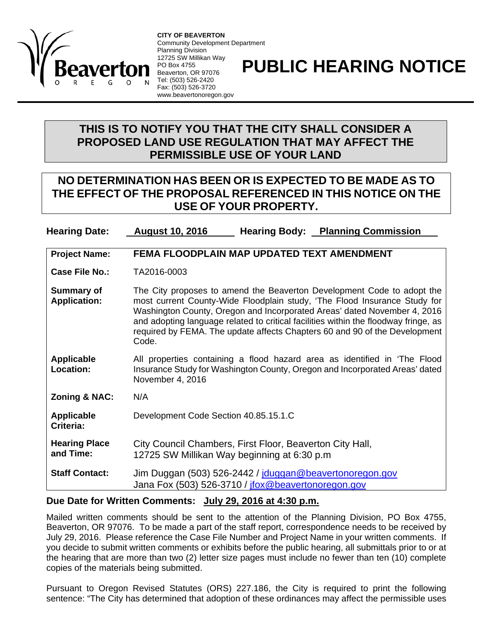

**CITY OF BEAVERTON**  Community Development Department Planning Division 12725 SW Millikan Way PO Box 4755 Beaverton, OR 97076 Tel: (503) 526-2420 Fax: (503) 526-3720 www.beavertonoregon.gov

## **PUBLIC HEARING NOTICE**

## **THIS IS TO NOTIFY YOU THAT THE CITY SHALL CONSIDER A PROPOSED LAND USE REGULATION THAT MAY AFFECT THE PERMISSIBLE USE OF YOUR LAND**

## **NO DETERMINATION HAS BEEN OR IS EXPECTED TO BE MADE AS TO THE EFFECT OF THE PROPOSAL REFERENCED IN THIS NOTICE ON THE USE OF YOUR PROPERTY.**

**Hearing Date: August 10, 2016 Hearing Body: Planning Commission**

| <b>Project Name:</b>                     | FEMA FLOODPLAIN MAP UPDATED TEXT AMENDMENT                                                                                                                                                                                                                                                                                                                                                                    |
|------------------------------------------|---------------------------------------------------------------------------------------------------------------------------------------------------------------------------------------------------------------------------------------------------------------------------------------------------------------------------------------------------------------------------------------------------------------|
| <b>Case File No.:</b>                    | TA2016-0003                                                                                                                                                                                                                                                                                                                                                                                                   |
| <b>Summary of</b><br><b>Application:</b> | The City proposes to amend the Beaverton Development Code to adopt the<br>most current County-Wide Floodplain study, 'The Flood Insurance Study for<br>Washington County, Oregon and Incorporated Areas' dated November 4, 2016<br>and adopting language related to critical facilities within the floodway fringe, as<br>required by FEMA. The update affects Chapters 60 and 90 of the Development<br>Code. |
| <b>Applicable</b><br>Location:           | All properties containing a flood hazard area as identified in 'The Flood<br>Insurance Study for Washington County, Oregon and Incorporated Areas' dated<br>November 4, 2016                                                                                                                                                                                                                                  |
| <b>Zoning &amp; NAC:</b>                 | N/A                                                                                                                                                                                                                                                                                                                                                                                                           |
| <b>Applicable</b><br>Criteria:           | Development Code Section 40.85.15.1.C                                                                                                                                                                                                                                                                                                                                                                         |
| <b>Hearing Place</b><br>and Time:        | City Council Chambers, First Floor, Beaverton City Hall,<br>12725 SW Millikan Way beginning at 6:30 p.m.                                                                                                                                                                                                                                                                                                      |
| <b>Staff Contact:</b>                    | Jim Duggan (503) 526-2442 / jduggan@beavertonoregon.gov<br>Jana Fox (503) 526-3710 / jfox@beavertonoregon.gov                                                                                                                                                                                                                                                                                                 |

## **Due Date for Written Comments: July 29, 2016 at 4:30 p.m.**

Mailed written comments should be sent to the attention of the Planning Division, PO Box 4755, Beaverton, OR 97076. To be made a part of the staff report, correspondence needs to be received by July 29, 2016. Please reference the Case File Number and Project Name in your written comments. If you decide to submit written comments or exhibits before the public hearing, all submittals prior to or at the hearing that are more than two (2) letter size pages must include no fewer than ten (10) complete copies of the materials being submitted.

Pursuant to Oregon Revised Statutes (ORS) 227.186, the City is required to print the following sentence: "The City has determined that adoption of these ordinances may affect the permissible uses